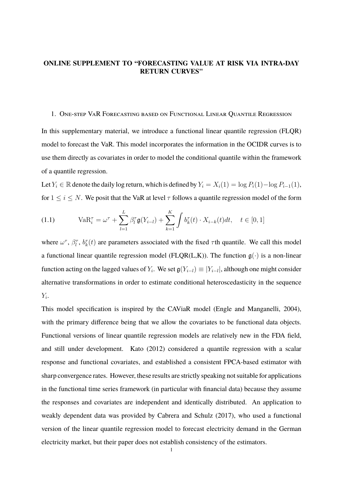# **ONLINE SUPPLEMENT TO "FORECASTING VALUE AT RISK VIA INTRA-DAY RETURN CURVES"**

## 1. One-step VaR Forecasting based on Functional Linear Quantile Regression

In this supplementary material, we introduce a functional linear quantile regression (FLQR) model to forecast the VaR. This model incorporates the information in the OCIDR curves is to use them directly as covariates in order to model the conditional quantile within the framework of a quantile regression.

Let  $Y_i \in \mathbb{R}$  denote the daily log return, which is defined by  $Y_i = X_i(1) = \log P_i(1) - \log P_{i-1}(1)$ , for  $1 \le i \le N$ . We posit that the VaR at level  $\tau$  follows a quantile regression model of the form

(1.1) 
$$
VaR_i^{\tau} = \omega^{\tau} + \sum_{l=1}^{L} \beta_l^{\tau} g(Y_{i-l}) + \sum_{k=1}^{K} \int b_k^{\tau}(t) \cdot X_{i-k}(t) dt, \quad t \in [0, 1]
$$

where  $\omega^{\tau}$ ,  $\beta_l^{\tau}$ ,  $b_k^{\tau}(t)$  are parameters associated with the fixed  $\tau$ th quantile. We call this model a functional linear quantile regression model (FLQR(L,K)). The function  $g(\cdot)$  is a non-linear function acting on the lagged values of  $Y_i$ . We set  $\mathfrak{g}(Y_{i-l}) \equiv |Y_{i-l}|$ , although one might consider alternative transformations in order to estimate conditional heteroscedasticity in the sequence  $Y_i$ .

This model specification is inspired by the CAViaR model (Engle and Manganelli, 2004), with the primary difference being that we allow the covariates to be functional data objects. Functional versions of linear quantile regression models are relatively new in the FDA field, and still under development. Kato (2012) considered a quantile regression with a scalar response and functional covariates, and established a consistent FPCA-based estimator with sharp convergence rates. However, these results are strictly speaking not suitable for applications in the functional time series framework (in particular with financial data) because they assume the responses and covariates are independent and identically distributed. An application to weakly dependent data was provided by Cabrera and Schulz (2017), who used a functional version of the linear quantile regression model to forecast electricity demand in the German electricity market, but their paper does not establish consistency of the estimators.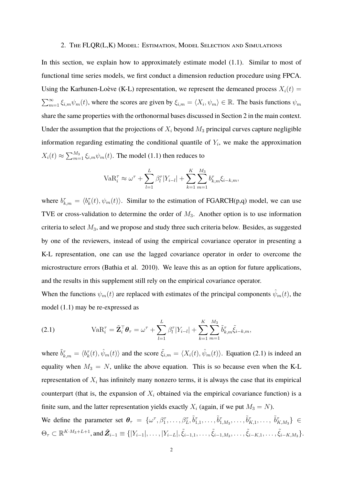#### 2. The FLQR(L,K) Model: Estimation, Model Selection and Simulations

In this section, we explain how to approximately estimate model  $(1.1)$ . Similar to most of functional time series models, we first conduct a dimension reduction procedure using FPCA. Using the Karhunen-Loève (K-L) representation, we represent the demeaned process  $X_i(t)$  =  $\sum_{m=1}^{\infty} \xi_{i,m} \psi_m(t)$ , where the scores are given by  $\xi_{i,m} = \langle X_i, \psi_m \rangle \in \mathbb{R}$ . The basis functions  $\psi_m$ share the same properties with the orthonormal bases discussed in Section 2 in the main context. Under the assumption that the projections of  $X_i$  beyond  $M_3$  principal curves capture negligible information regarding estimating the conditional quantile of  $Y_i$ , we make the approximation  $X_i(t) \approx \sum_{m=1}^{M_3} \xi_{i,m} \psi_m(t)$ . The model (1.1) then reduces to

$$
VaR_i^{\tau} \approx \omega^{\tau} + \sum_{l=1}^{L} \beta_l^{\tau} |Y_{i-l}| + \sum_{k=1}^{K} \sum_{m=1}^{M_3} b_{k,m}^{\tau} \xi_{i-k,m},
$$

where  $b_{k,m}^{\tau} = \langle b_k^{\tau}(t), \psi_m(t) \rangle$ . Similar to the estimation of FGARCH(p,q) model, we can use TVE or cross-validation to determine the order of  $M_3$ . Another option is to use information criteria to select  $M_3$ , and we propose and study three such criteria below. Besides, as suggested by one of the reviewers, instead of using the empirical covariance operator in presenting a K-L representation, one can use the lagged covariance operator in order to overcome the microstructure errors (Bathia et al. 2010). We leave this as an option for future applications, and the results in this supplement still rely on the empirical covariance operator.

When the functions  $\psi_m(t)$  are replaced with estimates of the principal components  $\hat{\psi}_m(t)$ , the model (1.1) may be re-expressed as

(2.1) 
$$
VaR_i^{\tau} = \tilde{\mathbf{Z}}_i^{\top} \boldsymbol{\theta}_{\tau} = \omega^{\tau} + \sum_{l=1}^{L} \beta_l^{\tau} |Y_{i-l}| + \sum_{k=1}^{K} \sum_{m=1}^{M_3} \tilde{b}_{k,m}^{\tau} \tilde{\xi}_{i-k,m},
$$

where  $\tilde{b}_{k,m}^{\tau} = \langle b_k^{\tau}(t), \hat{\psi}_m(t) \rangle$  and the score  $\tilde{\xi}_{i,m} = \langle X_i(t), \hat{\psi}_m(t) \rangle$ . Equation (2.1) is indeed an equality when  $M_3 = N$ , unlike the above equation. This is so because even when the K-L representation of  $X_i$  has infinitely many nonzero terms, it is always the case that its empirical counterpart (that is, the expansion of  $X_i$  obtained via the empirical covariance function) is a finite sum, and the latter representation yields exactly  $X_i$  (again, if we put  $M_3 = N$ ). We define the parameter set  $\theta_{\tau} = \{\omega^{\tau}, \beta_1^{\tau}, \ldots, \beta_L^{\tau}, \tilde{b}_{1,1}^{\tau}, \ldots, \tilde{b}_{1,M_3}^{\tau}, \ldots, \tilde{b}_{K,1}^{\tau}, \ldots, \tilde{b}_{K,M_3}^{\tau}\}\in$ 

 $\Theta_{\tau} \subset \mathbb{R}^{K \cdot M_3 + L + 1}$ , and  $\tilde{Z}_{i-1} \equiv \{ |Y_{i-1}|, \ldots, |Y_{i-L}|, \tilde{\xi}_{i-1,1}, \ldots, \tilde{\xi}_{i-1,M_3}, \ldots, \tilde{\xi}_{i-K,1}, \ldots, \tilde{\xi}_{i-K,M_3} \}.$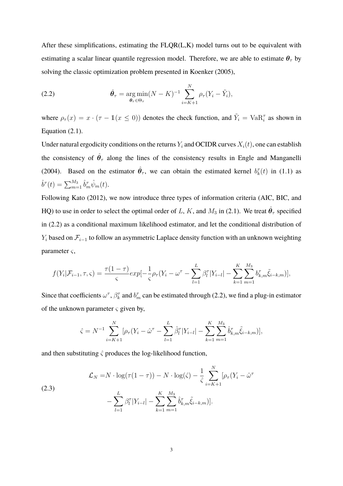After these simplifications, estimating the FLQR(L,K) model turns out to be equivalent with estimating a scalar linear quantile regression model. Therefore, we are able to estimate  $\theta_{\tau}$  by solving the classic optimization problem presented in Koenker (2005),

(2.2) 
$$
\hat{\theta}_{\tau} = \underset{\theta_{\tau} \in \Theta_{\tau}}{\arg \min} (N - K)^{-1} \sum_{i=K+1}^{N} \rho_{\tau} (Y_i - \tilde{Y}_i),
$$

where  $\rho_{\tau}(x) = x \cdot (\tau - \mathbb{1}(x \le 0))$  denotes the check function, and  $\tilde{Y}_i = \text{VaR}_i^{\tau}$  as shown in Equation (2.1).

Under natural ergodicity conditions on the returns  $Y_i$  and OCIDR curves  $X_i(t)$ , one can establish the consistency of  $\hat{\theta}_{\tau}$  along the lines of the consistency results in Engle and Manganelli (2004). Based on the estimator  $\hat{\theta}_{\tau}$ , we can obtain the estimated kernel  $b_k^{\tau}(t)$  in (1.1) as  $\hat{b}^{\tau}(t) = \sum_{m=1}^{M_3} \hat{b}_m^{\tau} \hat{\psi}_m(t).$ 

Following Kato (2012), we now introduce three types of information criteria (AIC, BIC, and HQ) to use in order to select the optimal order of L, K, and  $M_3$  in (2.1). We treat  $\hat{\theta}_{\tau}$  specified in (2.2) as a conditional maximum likelihood estimator, and let the conditional distribution of  $Y_i$  based on  $\mathcal{F}_{i-1}$  to follow an asymmetric Laplace density function with an unknown weighting parameter  $\varsigma$ ,

$$
f(Y_i|\mathcal{F}_{i-1}, \tau, \varsigma) = \frac{\tau(1-\tau)}{\varsigma} exp[-\frac{1}{\varsigma}\rho_{\tau}(Y_i - \omega^{\tau} - \sum_{l=1}^{L} \beta_l^{\tau} |Y_{i-l}| - \sum_{k=1}^{K} \sum_{m=1}^{M_3} b_{k,m}^{\tau} \tilde{\xi}_{i-k,m})],
$$

Since that coefficients  $\omega^{\tau}$ ,  $\beta_k^{\tau}$  and  $b_m^{\tau}$  can be estimated through (2.2), we find a plug-in estimator of the unknown parameter  $\varsigma$  given by,

$$
\hat{\varsigma} = N^{-1} \sum_{i=K+1}^{N} [\rho_{\tau}(Y_i - \hat{\omega}^{\tau} - \sum_{l=1}^{L} \hat{\beta}_l^{\tau} | Y_{i-l} | - \sum_{k=1}^{K} \sum_{m=1}^{M_3} \hat{b}_{k,m}^{\tau} \tilde{\xi}_{i-k,m})],
$$

and then substituting  $\hat{\zeta}$  produces the log-likelihood function,

(2.3)  

$$
\mathcal{L}_N = N \cdot \log(\tau(1-\tau)) - N \cdot \log(\hat{\varsigma}) - \frac{1}{\hat{\varsigma}} \sum_{i=K+1}^N [\rho_\tau (Y_i - \hat{\omega}^\tau - \hat{\omega}^\tau)] - \sum_{l=1}^L \beta_l^\tau |Y_{i-l}| - \sum_{k=1}^K \sum_{m=1}^{M_3} \hat{b}_{k,m}^\tau \tilde{\xi}_{i-k,m})].
$$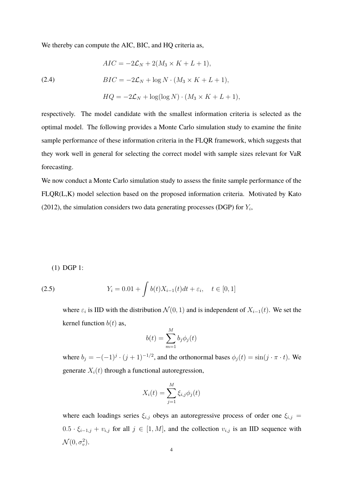We thereby can compute the AIC, BIC, and HQ criteria as,

(2.4)  
\n
$$
AIC = -2\mathcal{L}_N + 2(M_3 \times K + L + 1),
$$
\n
$$
BIC = -2\mathcal{L}_N + \log N \cdot (M_3 \times K + L + 1),
$$
\n
$$
HQ = -2\mathcal{L}_N + \log(\log N) \cdot (M_3 \times K + L + 1),
$$

respectively. The model candidate with the smallest information criteria is selected as the optimal model. The following provides a Monte Carlo simulation study to examine the finite sample performance of these information criteria in the FLQR framework, which suggests that they work well in general for selecting the correct model with sample sizes relevant for VaR forecasting.

We now conduct a Monte Carlo simulation study to assess the finite sample performance of the FLQR(L,K) model selection based on the proposed information criteria. Motivated by Kato (2012), the simulation considers two data generating processes (DGP) for  $Y_i$ ,

(1) DGP 1:

(2.5) 
$$
Y_i = 0.01 + \int b(t)X_{i-1}(t)dt + \varepsilon_i, \quad t \in [0,1]
$$

where  $\varepsilon_i$  is IID with the distribution  $\mathcal{N}(0, 1)$  and is independent of  $X_{i-1}(t)$ . We set the kernel function  $b(t)$  as,

$$
b(t) = \sum_{m=1}^{M} b_j \phi_j(t)
$$

where  $b_j = -(-1)^j \cdot (j+1)^{-1/2}$ , and the orthonormal bases  $\phi_j(t) = \sin(j \cdot \pi \cdot t)$ . We generate  $X_i(t)$  through a functional autoregression,

$$
X_i(t) = \sum_{j=1}^{M} \xi_{i,j} \phi_j(t)
$$

where each loadings series  $\xi_{i,j}$  obeys an autoregressive process of order one  $\xi_{i,j}$  =  $0.5 \cdot \xi_{i-1,j} + v_{i,j}$  for all  $j \in [1, M]$ , and the collection  $v_{i,j}$  is an IID sequence with  $\mathcal{N}(0, \sigma_v^2)$ .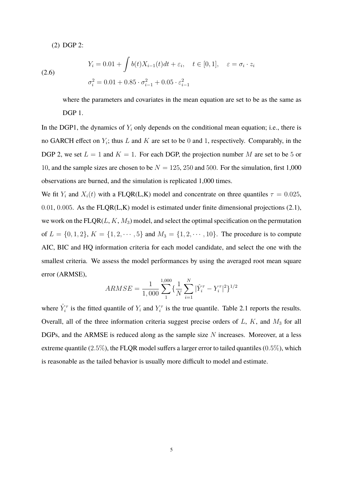(2) DGP 2:

(2.6) 
$$
Y_i = 0.01 + \int b(t)X_{i-1}(t)dt + \varepsilon_i, \quad t \in [0, 1], \quad \varepsilon = \sigma_i \cdot z_i
$$

$$
\sigma_i^2 = 0.01 + 0.85 \cdot \sigma_{i-1}^2 + 0.05 \cdot \varepsilon_{i-1}^2
$$

where the parameters and covariates in the mean equation are set to be as the same as DGP<sub>1</sub>.

In the DGP1, the dynamics of  $Y_i$  only depends on the conditional mean equation; i.e., there is no GARCH effect on  $Y_i$ ; thus L and K are set to be 0 and 1, respectively. Comparably, in the DGP 2, we set  $L = 1$  and  $K = 1$ . For each DGP, the projection number M are set to be 5 or 10, and the sample sizes are chosen to be  $N = 125, 250$  and 500. For the simulation, first 1,000 observations are burned, and the simulation is replicated 1,000 times.

We fit Y<sub>i</sub> and  $X_i(t)$  with a FLQR(L,K) model and concentrate on three quantiles  $\tau = 0.025$ , 0.01, 0.005. As the  $FLQR(L,K)$  model is estimated under finite dimensional projections (2.1), we work on the  $FLQR(L, K, M_3)$  model, and select the optimal specification on the permutation of  $L = \{0, 1, 2\}, K = \{1, 2, \dots, 5\}$  and  $M_3 = \{1, 2, \dots, 10\}.$  The procedure is to compute AIC, BIC and HQ information criteria for each model candidate, and select the one with the smallest criteria. We assess the model performances by using the averaged root mean square error (ARMSE),

$$
ARMSE = \frac{1}{1,000} \sum_{1}^{1,000} \left\{ \frac{1}{N} \sum_{i=1}^{N} |\hat{Y}_i^{\tau} - Y_i^{\tau}|^2 \right\}^{1/2}
$$

where  $\hat{Y}_i^{\tau}$  is the fitted quantile of  $Y_i$  and  $Y_i^{\tau}$  is the true quantile. Table 2.1 reports the results. Overall, all of the three information criteria suggest precise orders of  $L$ ,  $K$ , and  $M<sub>3</sub>$  for all DGPs, and the ARMSE is reduced along as the sample size  $N$  increases. Moreover, at a less extreme quantile (2.5%), the FLQR model suffers a larger error to tailed quantiles (0.5%), which is reasonable as the tailed behavior is usually more difficult to model and estimate.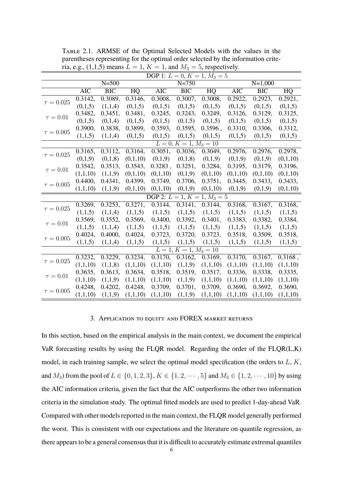|                                | DGP 1: $L = 0, K = 1, M_3 = 5$ |                  |                 |                         |                          |                 |                         |                  |          |  |  |
|--------------------------------|--------------------------------|------------------|-----------------|-------------------------|--------------------------|-----------------|-------------------------|------------------|----------|--|--|
|                                |                                | $N=500$          |                 |                         | $N = 750$                |                 | $N=1,000$               |                  |          |  |  |
|                                | $\overline{\text{AIC}}$        | $\overline{BIC}$ | $\overline{HQ}$ | $\overline{\text{AIC}}$ | $\overline{BIC}$         | $\overline{HQ}$ | $\overline{\text{AIC}}$ | $\overline{BIC}$ | HQ       |  |  |
| $\tau=0.025$                   | 0.3142,                        | 0.3089,          | 0.3146,         | 0.3008,                 | 0.3007,                  | 0.3008,         | 0.2922,                 | 0.2923,          | 0.2921,  |  |  |
|                                | (0,1,5)                        | (1,1,4)          | (0,1,5)         | (0,1,5)                 | (0,1,5)                  | (0,1,5)         | (0,1,5)                 | (0,1,5)          | (0,1,5)  |  |  |
| $\tau = 0.01$                  | 0.3482,                        | 0.3451,          | 0.3481,         | 0.3245,                 | 0.3243,                  | 0.3249,         | 0.3126,                 | 0.3129,          | 0.3125,  |  |  |
|                                | (0,1,5)                        | (0,1,4)          | (0,1,5)         | (0,1,5)                 | (0,1,5)                  | (0,1,5)         | (0,1,5)                 | (0,1,5)          | (0,1,5)  |  |  |
| $\tau = 0.005$                 | 0.3900,                        | 0.3838,          | 0.3899,         | 0.3593,                 | 0.3595,                  | 0.3596,         | 0.3310,                 | 0.3306,          | 0.3312,  |  |  |
|                                | (1,1,5)                        | (1,1,4)          | (0,1,5)         | (0,1,5)                 | (0,1,5)                  | (0,1,5)         | (0,1,5)                 | (0,1,5)          | (0,1,5)  |  |  |
|                                | $L = 0, K = 1, M_3 = 10$       |                  |                 |                         |                          |                 |                         |                  |          |  |  |
| $\tau = 0.025$                 | 0.3165,                        | 0.3112,          | 0.3164,         | 0.3051,                 | 0.3036,                  | 0.3049,         | 0.2976,                 | 0.2976,          | 0.2978,  |  |  |
|                                | (0,1,9)                        | (0,1,8)          | (0,1,10)        | (0,1,9)                 | (0,1,8)                  | (0,1,9)         | (0,1,9)                 | (0,1,9)          | (0,1,10) |  |  |
| $\tau = 0.01$                  | 0.3542,                        | 0.3513,          | 0.3543,         | 0.3283,                 | 0.3251,                  | 0.3284,         | 0.3195,                 | 0.3179,          | 0.3196,  |  |  |
|                                | (1,1,10)                       | (1,1,9)          | (0,1,10)        | (0,1,10)                | (0,1,9)                  | (0,1,10)        | (0,1,10)                | (0,1,10)         | (0,1,10) |  |  |
| $\tau=0.005$                   | 0.4400,                        | 0.4341,          | 0.4399,         | 0.3749,                 | 0.3706,                  | 0.3751,         | 0.3445,                 | 0.3433,          | 0.3433,  |  |  |
|                                | (1,1,10)                       | (1,1,9)          | (0,1,10)        | (0,1,10)                | (0,1,9)                  | (0,1,10)        | (0,1,9)                 | (0,1,9)          | (0,1,10) |  |  |
| DGP 2: $L = 1, K = 1, M_3 = 5$ |                                |                  |                 |                         |                          |                 |                         |                  |          |  |  |
|                                | 0.3269,                        | 0.3253,          | 0.3271,         | 0.3144,                 | 0.3141,                  | 0.3144,         | 0.3168,                 | 0.3167,          | 0.3168,  |  |  |
| $\tau = 0.025$                 | (1,1,5)                        | (1,1,4)          | (1,1,5)         | (1,1,5)                 | (1,1,5)                  | (1,1,5)         | (1,1,5)                 | (1,1,5)          | (1,1,5)  |  |  |
| $\tau = 0.01$                  | 0.3569,                        | 0.3552,          | 0.3569,         | 0.3400,                 | 0.3392,                  | 0.3401,         | 0.3383,                 | 0.3382,          | 0.3384,  |  |  |
|                                | (1,1,5)                        | (1,1,4)          | (1,1,5)         | (1,1,5)                 | (1,1,5)                  | (1,1,5)         | (1,1,5)                 | (1,1,5)          | (1,1,5)  |  |  |
| $\tau=0.005$                   | 0.4024,                        | 0.4000,          | 0.4024,         | 0.3723,                 | 0.3720,                  | 0.3723,         | 0.3518,                 | 0.3509,          | 0.3518,  |  |  |
|                                | (1,1,5)                        | (1,1,4)          | (1,1,5)         | (1,1,5)                 | (1,1,5)                  | (1,1,5)         | (1,1,5)                 | (1,1,5)          | (1,1,5)  |  |  |
|                                |                                |                  |                 |                         | $L = 1, K = 1, M_3 = 10$ |                 |                         |                  |          |  |  |
| $\tau = 0.025$                 | 0.3232,                        | 0.3229,          | 0.3234,         | 0.3170,                 | 0.3162,                  | 0.3169,         | 0.3170,                 | 0.3167,          | 0.3168,  |  |  |
|                                | (1,1,10)                       | (1,1,8)          | (1,1,10)        | (1,1,10)                | (1,1,9)                  | (1,1,10)        | (1,1,10)                | (1,1,10)         | (1,1,10) |  |  |
| $\tau = 0.01$                  | 0.3635,                        | 0.3613,          | 0.3634,         | 0.3518,                 | 0.3519,                  | 0.3517,         | 0.3336,                 | 0.3338,          | 0.3335,  |  |  |
|                                | (1,1,10)                       | (1,1,9)          | (1,1,10)        | (1,1,10)                | (1,1,9)                  | (1,1,10)        | (1,1,10)                | (1,1,10)         | (1,1,10) |  |  |
| $\tau = 0.005$                 | 0.4248,                        | 0.4202,          | 0.4248,         | 0.3709,                 | 0.3701,                  | 0.3709,         | 0.3690,                 | 0.3692,          | 0.3690,  |  |  |
|                                | (1,1,10)                       | (1,1,9)          | (1,1,10)        | (1,1,10)                | (1,1,9)                  | (1,1,10)        | (1,1,10)                | (1,1,10)         | (1,1,10) |  |  |

Table 2.1. ARMSE of the Optimal Selected Models with the values in the parentheses representing for the optimal order selected by the information criteria, e.g., (1,1,5) means  $L = 1, K = 1$ , and  $M_3 = 5$ , respectively.

### 3. Application to equity and FOREX market returns

In this section, based on the empirical analysis in the main context, we document the empirical VaR forecasting results by using the FLQR model. Regarding the order of the FLQR(L,K) model, in each training sample, we select the optimal model specification (the orders to  $L, K$ , and  $M_3$ ) from the pool of  $L \in \{0, 1, 2, 3\}$ ,  $K \in \{1, 2, \dots, 5\}$  and  $M_3 \in \{1, 2, \dots, 10\}$  by using the AIC information criteria, given the fact that the AIC outperforms the other two information criteria in the simulation study. The optimal fitted models are used to predict 1-day-ahead VaR. Compared with other models reported in the main context, the FLQR model generally performed the worst. This is consistent with our expectations and the literature on quantile regression, as there appears to be a general consensus that it is difficult to accurately estimate extremal quantiles